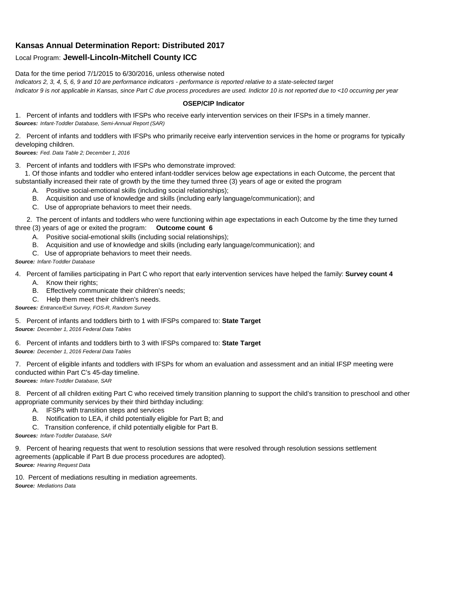## **Kansas Annual Determination Report: Distributed 2017**

## Local Program: **Jewell-Lincoln-Mitchell County ICC**

Data for the time period 7/1/2015 to 6/30/2016, unless otherwise noted

*Indicators 2, 3, 4, 5, 6, 9 and 10 are performance indicators - performance is reported relative to a state-selected target Indicator 9 is not applicable in Kansas, since Part C due process procedures are used. Indictor 10 is not reported due to <10 occurring per year*

## **OSEP/CIP Indicator**

1. Percent of infants and toddlers with IFSPs who receive early intervention services on their IFSPs in a timely manner. *Sources: Infant-Toddler Database, Semi-Annual Report (SAR)* 

2. Percent of infants and toddlers with IFSPs who primarily receive early intervention services in the home or programs for typically developing children.

*Sources: Fed. Data Table 2; December 1, 2016*

3. Percent of infants and toddlers with IFSPs who demonstrate improved:

 1. Of those infants and toddler who entered infant-toddler services below age expectations in each Outcome, the percent that substantially increased their rate of growth by the time they turned three (3) years of age or exited the program

- A. Positive social-emotional skills (including social relationships);
- B. Acquisition and use of knowledge and skills (including early language/communication); and
- C. Use of appropriate behaviors to meet their needs.

 2. The percent of infants and toddlers who were functioning within age expectations in each Outcome by the time they turned three (3) years of age or exited the program: **Outcome count 6**

- A. Positive social-emotional skills (including social relationships);
- B. Acquisition and use of knowledge and skills (including early language/communication); and
- C. Use of appropriate behaviors to meet their needs.

## *Source: Infant-Toddler Database*

4. Percent of families participating in Part C who report that early intervention services have helped the family: **Survey count 4**

- A. Know their rights;
- B. Effectively communicate their children's needs;
- C. Help them meet their children's needs.
- *Sources: Entrance/Exit Survey, FOS-R, Random Survey*

5. Percent of infants and toddlers birth to 1 with IFSPs compared to: **State Target** *Source: December 1, 2016 Federal Data Tables*

6. Percent of infants and toddlers birth to 3 with IFSPs compared to: **State Target** *Source: December 1, 2016 Federal Data Tables*

7. Percent of eligible infants and toddlers with IFSPs for whom an evaluation and assessment and an initial IFSP meeting were conducted within Part C's 45-day timeline.

*Sources: Infant-Toddler Database, SAR*

8. Percent of all children exiting Part C who received timely transition planning to support the child's transition to preschool and other appropriate community services by their third birthday including:

- A. IFSPs with transition steps and services
- B. Notification to LEA, if child potentially eligible for Part B; and
- C. Transition conference, if child potentially eligible for Part B.

*Sources: Infant-Toddler Database, SAR*

9. Percent of hearing requests that went to resolution sessions that were resolved through resolution sessions settlement agreements (applicable if Part B due process procedures are adopted). *Source: Hearing Request Data*

10. Percent of mediations resulting in mediation agreements. *Source: Mediations Data*